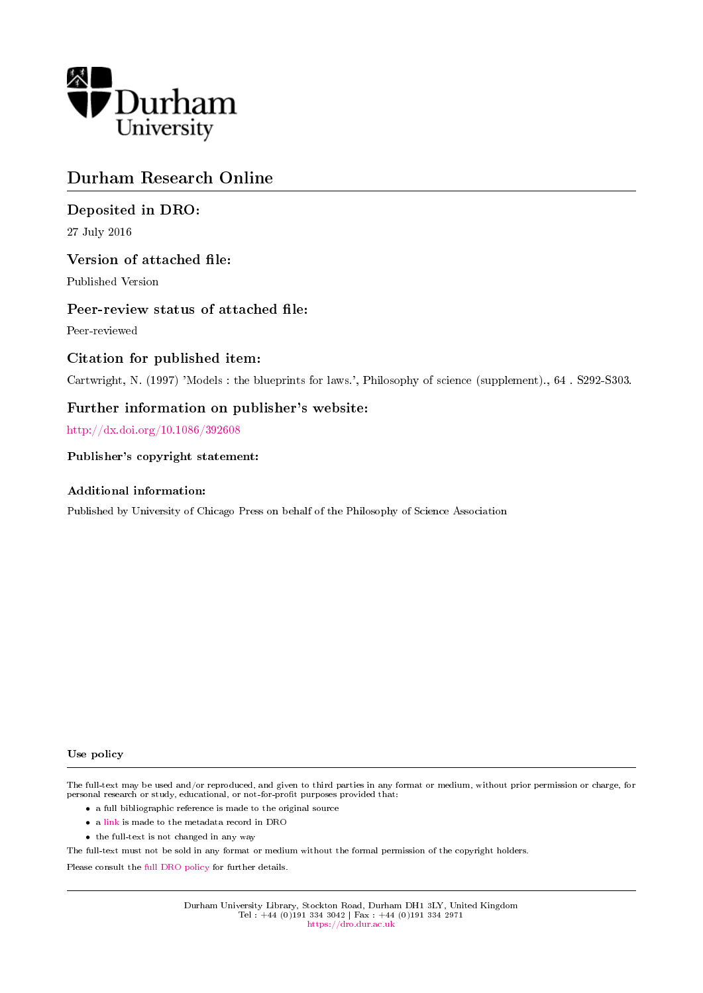

# Durham Research Online

## Deposited in DRO:

27 July 2016

#### Version of attached file:

Published Version

#### Peer-review status of attached file:

Peer-reviewed

### Citation for published item:

Cartwright, N. (1997) 'Models : the blueprints for laws.', Philosophy of science (supplement)., 64 . S292-S303.

#### Further information on publisher's website:

<http://dx.doi.org/10.1086/392608>

#### Publisher's copyright statement:

#### Additional information:

Published by University of Chicago Press on behalf of the Philosophy of Science Association

#### Use policy

The full-text may be used and/or reproduced, and given to third parties in any format or medium, without prior permission or charge, for personal research or study, educational, or not-for-profit purposes provided that:

- a full bibliographic reference is made to the original source
- a [link](http://dro.dur.ac.uk/19364/) is made to the metadata record in DRO
- the full-text is not changed in any way

The full-text must not be sold in any format or medium without the formal permission of the copyright holders.

Please consult the [full DRO policy](https://dro.dur.ac.uk/policies/usepolicy.pdf) for further details.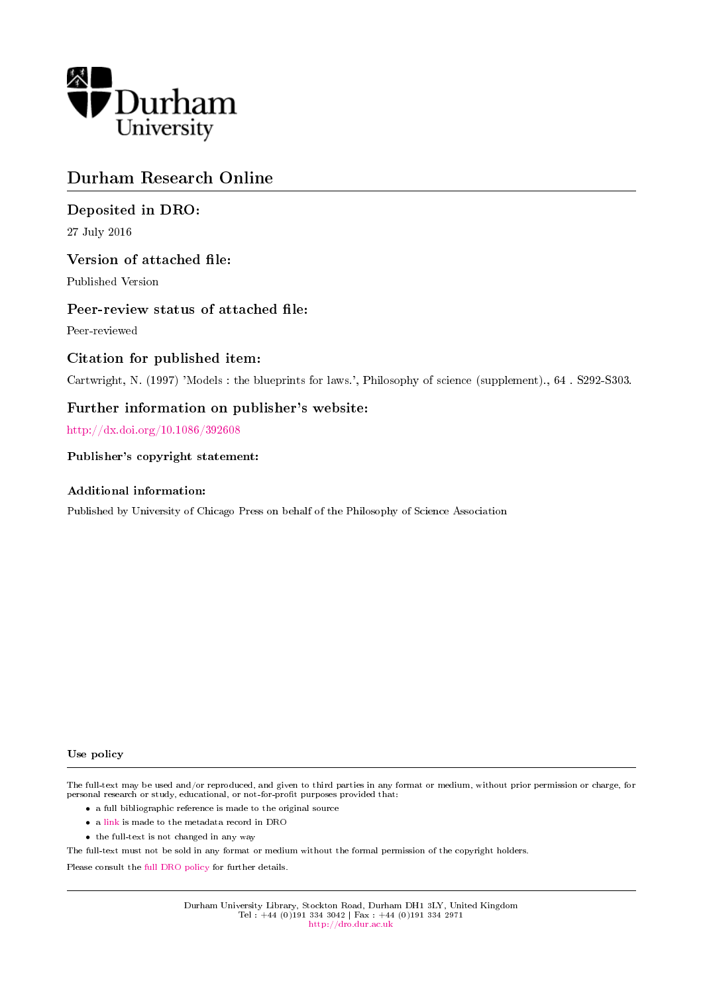

# Durham Research Online

## Deposited in DRO:

27 July 2016

#### Version of attached file:

Published Version

#### Peer-review status of attached file:

Peer-reviewed

### Citation for published item:

Cartwright, N. (1997) 'Models : the blueprints for laws.', Philosophy of science (supplement)., 64 . S292-S303.

#### Further information on publisher's website:

<http://dx.doi.org/10.1086/392608>

#### Publisher's copyright statement:

#### Additional information:

Published by University of Chicago Press on behalf of the Philosophy of Science Association

#### Use policy

The full-text may be used and/or reproduced, and given to third parties in any format or medium, without prior permission or charge, for personal research or study, educational, or not-for-profit purposes provided that:

- a full bibliographic reference is made to the original source
- a [link](http://dro.dur.ac.uk/19364/) is made to the metadata record in DRO
- the full-text is not changed in any way

The full-text must not be sold in any format or medium without the formal permission of the copyright holders.

Please consult the [full DRO policy](http://dro.dur.ac.uk/policies/usepolicy.pdf) for further details.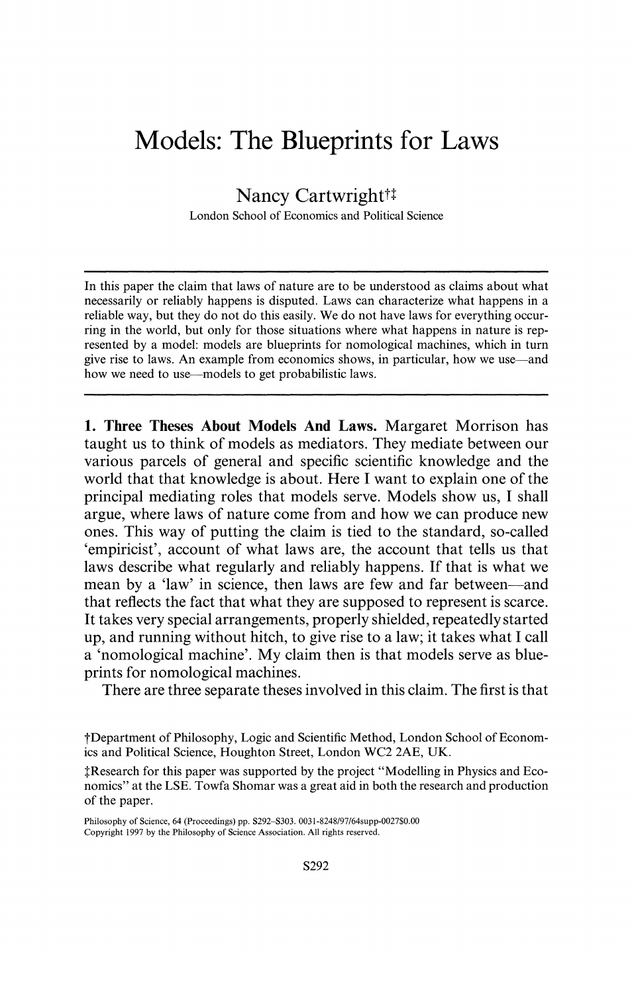# **Models: The Blueprints for Laws**

**Nancy Cartwright<sup>†</sup>** 

**London School of Economics and Political Science** 

**In this paper the claim that laws of nature are to be understood as claims about what necessarily or reliably happens is disputed. Laws can characterize what happens in a reliable way, but they do not do this easily. We do not have laws for everything occurring in the world, but only for those situations where what happens in nature is represented by a model: models are blueprints for nomological machines, which in turn give rise to laws. An example from economics shows, in particular, how we use-and how we need to use-models to get probabilistic laws.** 

**1. Three Theses About Models And Laws. Margaret Morrison has taught us to think of models as mediators. They mediate between our various parcels of general and specific scientific knowledge and the world that that knowledge is about. Here I want to explain one of the principal mediating roles that models serve. Models show us, I shall argue, where laws of nature come from and how we can produce new ones. This way of putting the claim is tied to the standard, so-called 'empiricist', account of what laws are, the account that tells us that laws describe what regularly and reliably happens. If that is what we mean by a 'law' in science, then laws are few and far between-and that reflects the fact that what they are supposed to represent is scarce. It takes very special arrangements, properly shielded, repeatedly started up, and running without hitch, to give rise to a law; it takes what I call a 'nomological machine'. My claim then is that models serve as blueprints for nomological machines.** 

**There are three separate theses involved in this claim. The first is that** 

**tDepartment of Philosophy, Logic and Scientific Method, London School of Economics and Political Science, Houghton Street, London WC2 2AE, UK.** 

**<sup>{</sup>Research for this paper was supported by the project "Modelling in Physics and Economics" at the LSE. Towfa Shomar was a great aid in both the research and production of the paper.** 

**Philosophy of Science, 64 (Proceedings) pp. S292-S303. 0031-8248/97/64supp-0027\$0.00 Copyright 1997 by the Philosophy of Science Association. All rights reserved.**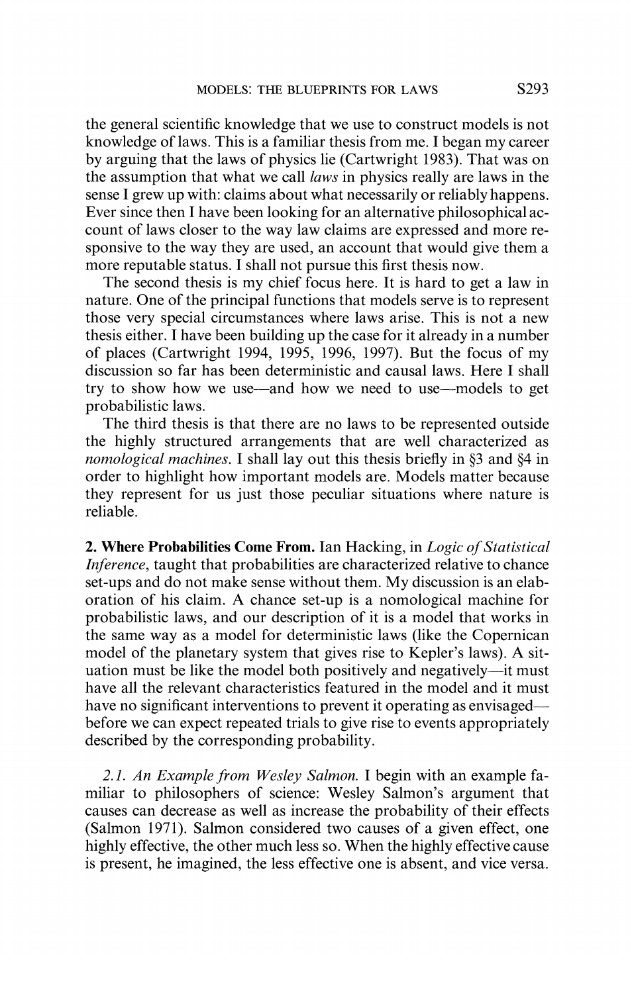**the general scientific knowledge that we use to construct models is not knowledge of laws. This is a familiar thesis from me. I began my career by arguing that the laws of physics lie (Cartwright 1983). That was on the assumption that what we call laws in physics really are laws in the sense I grew up with: claims about what necessarily or reliably happens. Ever since then I have been looking for an alternative philosophical account of laws closer to the way law claims are expressed and more responsive to the way they are used, an account that would give them a more reputable status. I shall not pursue this first thesis now.** 

**The second thesis is my chief focus here. It is hard to get a law in nature. One of the principal functions that models serve is to represent those very special circumstances where laws arise. This is not a new thesis either. I have been building up the case for it already in a number of places (Cartwright 1994, 1995, 1996, 1997). But the focus of my discussion so far has been deterministic and causal laws. Here I shall try to show how we use-and how we need to use-models to get probabilistic laws.** 

**The third thesis is that there are no laws to be represented outside the highly structured arrangements that are well characterized as**  *nomological machines.* I shall lay out this thesis briefly in §3 and §4 in **order to highlight how important models are. Models matter because they represent for us just those peculiar situations where nature is reliable.** 

**2. Where Probabilities Come From. Ian Hacking, in Logic of Statistical Inference, taught that probabilities are characterized relative to chance set-ups and do not make sense without them. My discussion is an elaboration of his claim. A chance set-up is a nomological machine for probabilistic laws, and our description of it is a model that works in the same way as a model for deterministic laws (like the Copernican model of the planetary system that gives rise to Kepler's laws). A situation must be like the model both positively and negatively-it must have all the relevant characteristics featured in the model and it must have no significant interventions to prevent it operating as envisaged before we can expect repeated trials to give rise to events appropriately described by the corresponding probability.** 

**2.1. An Example from Wesley Salmon. I begin with an example familiar to philosophers of science: Wesley Salmon's argument that causes can decrease as well as increase the probability of their effects (Salmon 1971). Salmon considered two causes of a given effect, one highly effective, the other much less so. When the highly effective cause is present, he imagined, the less effective one is absent, and vice versa.**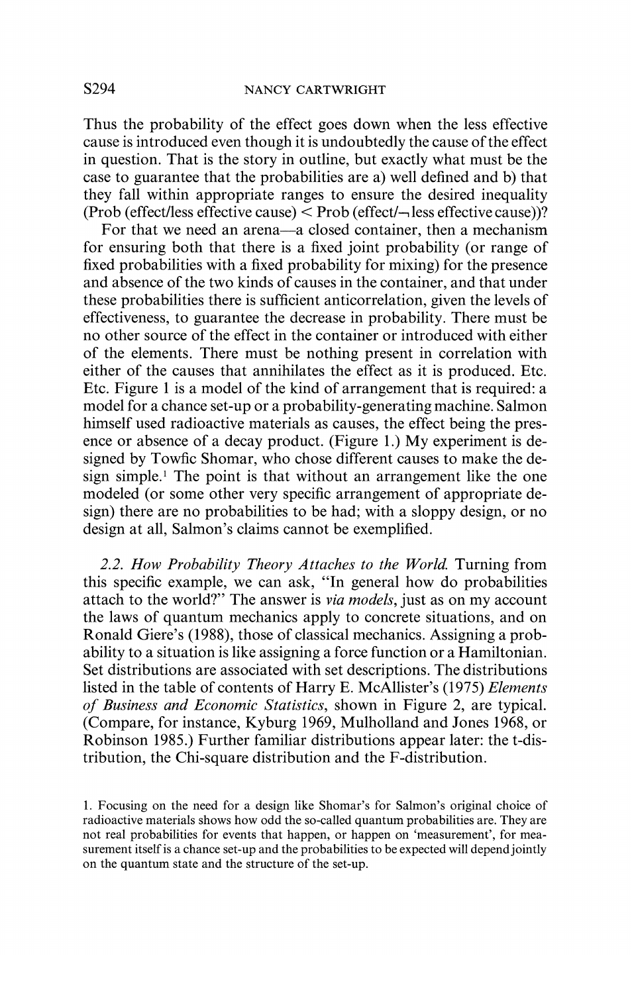**Thus the probability of the effect goes down when the less effective cause is introduced even though it is undoubtedly the cause of the effect in question. That is the story in outline, but exactly what must be the case to guarantee that the probabilities are a) well defined and b) that they fall within appropriate ranges to ensure the desired inequality (Prob (effect/less effective cause) < Prob (effect/- less effective cause))?** 

For that we need an arena—a closed container, then a mechanism **for ensuring both that there is a fixed joint probability (or range of fixed probabilities with a fixed probability for mixing) for the presence and absence of the two kinds of causes in the container, and that under these probabilities there is sufficient anticorrelation, given the levels of effectiveness, to guarantee the decrease in probability. There must be no other source of the effect in the container or introduced with either of the elements. There must be nothing present in correlation with either of the causes that annihilates the effect as it is produced. Etc. Etc. Figure 1 is a model of the kind of arrangement that is required: a model for a chance set-up or a probability-generating machine. Salmon himself used radioactive materials as causes, the effect being the presence or absence of a decay product. (Figure 1.) My experiment is designed by Towfic Shomar, who chose different causes to make the design simple.' The point is that without an arrangement like the one modeled (or some other very specific arrangement of appropriate design) there are no probabilities to be had; with a sloppy design, or no design at all, Salmon's claims cannot be exemplified.** 

**2.2. How Probability Theory Attaches to the World. Turning from this specific example, we can ask, "In general how do probabilities attach to the world?" The answer is via models, just as on my account the laws of quantum mechanics apply to concrete situations, and on Ronald Giere's (1988), those of classical mechanics. Assigning a probability to a situation is like assigning a force function or a Hamiltonian. Set distributions are associated with set descriptions. The distributions listed in the table of contents of Harry E. McAllister's (1975) Elements of Business and Economic Statistics, shown in Figure 2, are typical. (Compare, for instance, Kyburg 1969, Mulholland and Jones 1968, or Robinson 1985.) Further familiar distributions appear later: the t-distribution, the Chi-square distribution and the F-distribution.** 

**<sup>1.</sup> Focusing on the need for a design like Shomar's for Salmon's original choice of radioactive materials shows how odd the so-called quantum probabilities are. They are not real probabilities for events that happen, or happen on 'measurement', for measurement itself is a chance set-up and the probabilities to be expected will depend jointly on the quantum state and the structure of the set-up.**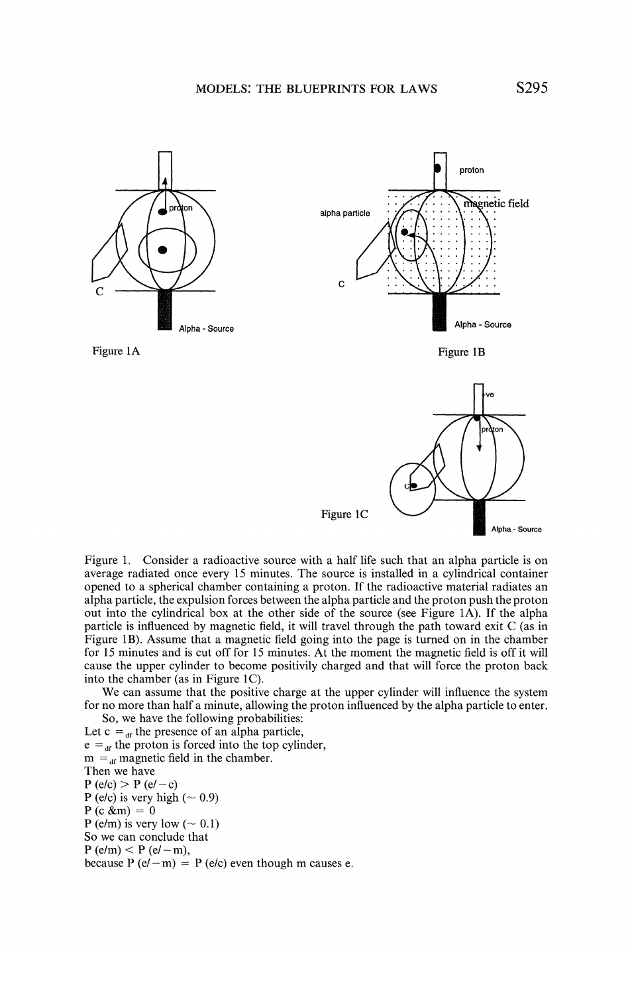

**Figure 1. Consider a radioactive source with a half life such that an alpha particle is on average radiated once every 15 minutes. The source is installed in a cylindrical container opened to a spherical chamber containing a proton. If the radioactive material radiates an alpha particle, the expulsion forces between the alpha particle and the proton push the proton out into the cylindrical box at the other side of the source (see Figure 1A). If the alpha particle is influenced by magnetic field, it will travel through the path toward exit C (as in Figure 1B). Assume that a magnetic field going into the page is turned on in the chamber for 15 minutes and is cut off for 15 minutes. At the moment the magnetic field is off it will cause the upper cylinder to become positivily charged and that will force the proton back into the chamber (as in Figure 1C).** 

**We can assume that the positive charge at the upper cylinder will influence the system for no more than half a minute, allowing the proton influenced by the alpha particle to enter. So, we have the following probabilities:** 

Let  $c =_{\text{df}}$  the presence of an alpha particle,  $e = \frac{d}{dt}$  the proton is forced into the top cylinder,  $m =$ <sub>df</sub> magnetic field in the chamber. **Then we have**   $P (e/c) > P (e/-c)$ **P** (e/c) is very high ( $\sim$  0.9)  $P$  (c &m) = 0 **P** (e/m) is very low ( $\sim 0.1$ ) **So we can conclude that**   $P(e/m) < P(e/- m)$ , because P  $(e/- m) = P(e/c)$  even though m causes e.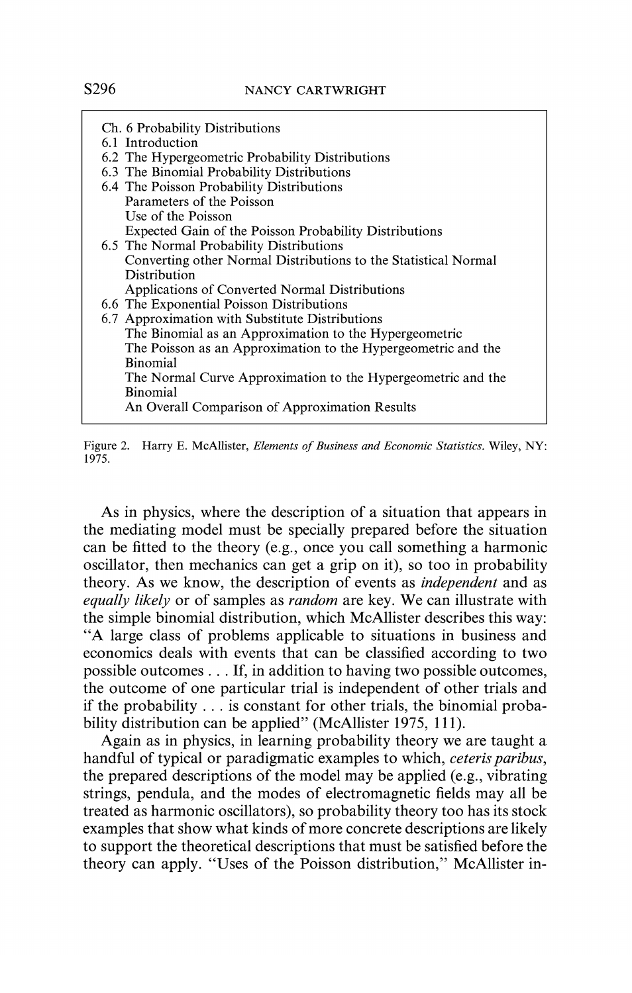| Ch. 6 Probability Distributions |                                                                 |  |
|---------------------------------|-----------------------------------------------------------------|--|
|                                 | 6.1 Introduction                                                |  |
|                                 | 6.2 The Hypergeometric Probability Distributions                |  |
|                                 | 6.3 The Binomial Probability Distributions                      |  |
|                                 | 6.4 The Poisson Probability Distributions                       |  |
|                                 | Parameters of the Poisson                                       |  |
|                                 | Use of the Poisson                                              |  |
|                                 | Expected Gain of the Poisson Probability Distributions          |  |
|                                 | 6.5 The Normal Probability Distributions                        |  |
|                                 | Converting other Normal Distributions to the Statistical Normal |  |
|                                 | Distribution                                                    |  |
|                                 | Applications of Converted Normal Distributions                  |  |
|                                 | 6.6 The Exponential Poisson Distributions                       |  |
|                                 | 6.7 Approximation with Substitute Distributions                 |  |
|                                 | The Binomial as an Approximation to the Hypergeometric          |  |
|                                 | The Poisson as an Approximation to the Hypergeometric and the   |  |
|                                 | Binomial                                                        |  |
|                                 | The Normal Curve Approximation to the Hypergeometric and the    |  |
|                                 | Binomial                                                        |  |
|                                 | An Overall Comparison of Approximation Results                  |  |
|                                 |                                                                 |  |

**Figure 2. Harry E. McAllister, Elements of Business and Economic Statistics. Wiley, NY: 1975.** 

**As in physics, where the description of a situation that appears in the mediating model must be specially prepared before the situation can be fitted to the theory (e.g., once you call something a harmonic oscillator, then mechanics can get a grip on it), so too in probability theory. As we know, the description of events as independent and as equally likely or of samples as random are key. We can illustrate with the simple binomial distribution, which McAllister describes this way: "A large class of problems applicable to situations in business and economics deals with events that can be classified according to two possible outcomes ... If, in addition to having two possible outcomes, the outcome of one particular trial is independent of other trials and if the probability ... is constant for other trials, the binomial probability distribution can be applied" (McAllister 1975, 111).** 

**Again as in physics, in learning probability theory we are taught a**  handful of typical or paradigmatic examples to which, *ceteris paribus*, **the prepared descriptions of the model may be applied (e.g., vibrating strings, pendula, and the modes of electromagnetic fields may all be treated as harmonic oscillators), so probability theory too has its stock examples that show what kinds of more concrete descriptions are likely to support the theoretical descriptions that must be satisfied before the theory can apply. "Uses of the Poisson distribution," McAllister in-**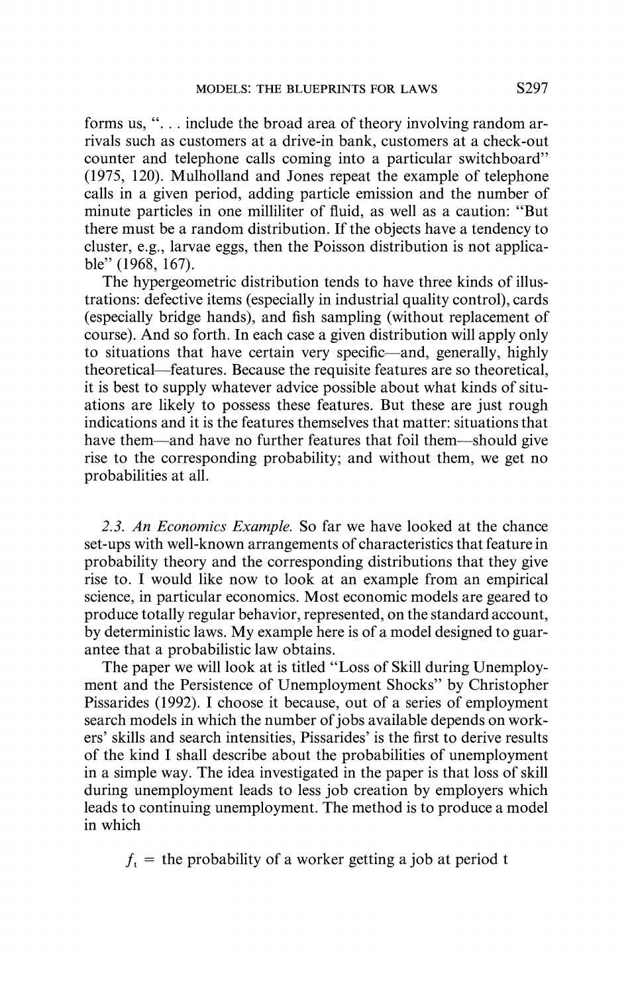**forms us, ". .. include the broad area of theory involving random arrivals such as customers at a drive-in bank, customers at a check-out counter and telephone calls coming into a particular switchboard" (1975, 120). Mulholland and Jones repeat the example of telephone calls in a given period, adding particle emission and the number of minute particles in one milliliter of fluid, as well as a caution: "But there must be a random distribution. If the objects have a tendency to cluster, e.g., larvae eggs, then the Poisson distribution is not applicable" (1968, 167).** 

**The hypergeometric distribution tends to have three kinds of illustrations: defective items (especially in industrial quality control), cards (especially bridge hands), and fish sampling (without replacement of course). And so forth. In each case a given distribution will apply only**  to situations that have certain very specific—and, generally, highly **theoretical-features. Because the requisite features are so theoretical, it is best to supply whatever advice possible about what kinds of situations are likely to possess these features. But these are just rough indications and it is the features themselves that matter: situations that have them-and have no further features that foil them-should give rise to the corresponding probability; and without them, we get no probabilities at all.** 

**2.3. An Economics Example. So far we have looked at the chance set-ups with well-known arrangements of characteristics that feature in probability theory and the corresponding distributions that they give rise to. I would like now to look at an example from an empirical science, in particular economics. Most economic models are geared to produce totally regular behavior, represented, on the standard account, by deterministic laws. My example here is of a model designed to guarantee that a probabilistic law obtains.** 

**The paper we will look at is titled "Loss of Skill during Unemployment and the Persistence of Unemployment Shocks" by Christopher Pissarides (1992). I choose it because, out of a series of employment search models in which the number of jobs available depends on workers' skills and search intensities, Pissarides' is the first to derive results of the kind I shall describe about the probabilities of unemployment in a simple way. The idea investigated in the paper is that loss of skill during unemployment leads to less job creation by employers which leads to continuing unemployment. The method is to produce a model in which** 

 $f_t$  = the probability of a worker getting a job at period t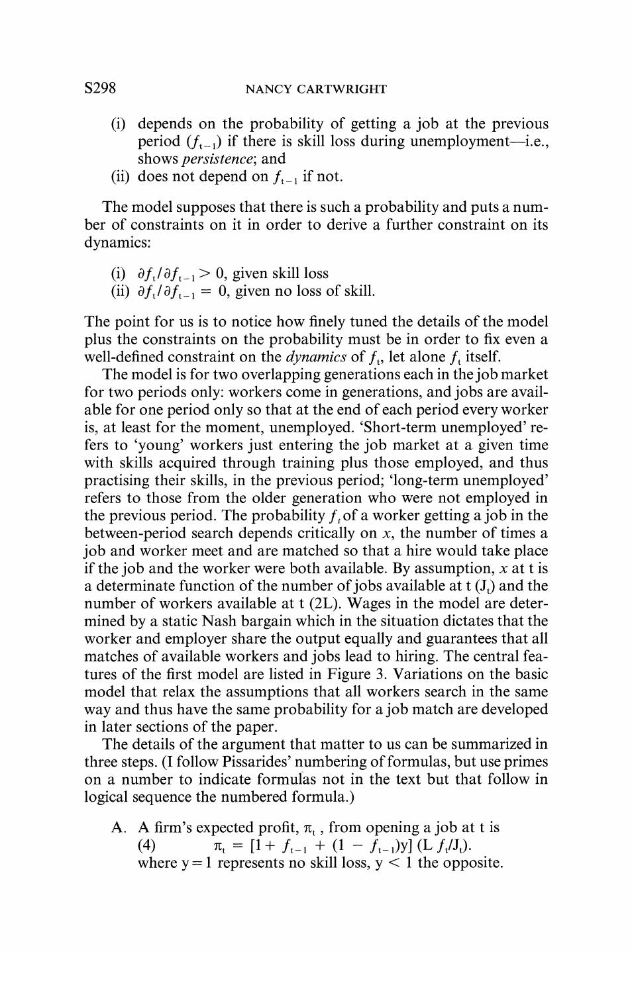- **(i) depends on the probability of getting a job at the previous**  period  $(f_{t-1})$  if there is skill loss during unemployment—i.e., **shows persistence; and**
- (ii) does not depend on  $f_{t-1}$  if not.

**The model supposes that there is such a probability and puts a number of constraints on it in order to derive a further constraint on its dynamics:** 

- (i)  $\partial f_t / \partial f_{t-1} > 0$ , given skill loss
- (ii)  $\partial f_t / \partial f_{t-1} = 0$ , given no loss of skill.

**The point for us is to notice how finely tuned the details of the model plus the constraints on the probability must be in order to fix even a**  well-defined constraint on the *dynamics* of  $f_t$ , let alone  $f_t$  itself.

**The model is for two overlapping generations each in the job market for two periods only: workers come in generations, and jobs are available for one period only so that at the end of each period every worker is, at least for the moment, unemployed. 'Short-term unemployed' refers to 'young' workers just entering the job market at a given time with skills acquired through training plus those employed, and thus practising their skills, in the previous period; 'long-term unemployed' refers to those from the older generation who were not employed in the previous period. The probability f, of a worker getting a job in the between-period search depends critically on x, the number of times a job and worker meet and are matched so that a hire would take place if the job and the worker were both available. By assumption, x at t is**  a determinate function of the number of jobs available at t (J<sub>t</sub>) and the **number of workers available at t (2L). Wages in the model are determined by a static Nash bargain which in the situation dictates that the worker and employer share the output equally and guarantees that all matches of available workers and jobs lead to hiring. The central features of the first model are listed in Figure 3. Variations on the basic model that relax the assumptions that all workers search in the same way and thus have the same probability for a job match are developed in later sections of the paper.** 

**The details of the argument that matter to us can be summarized in three steps. (I follow Pissarides' numbering of formulas, but use primes on a number to indicate formulas not in the text but that follow in logical sequence the numbered formula.)** 

A. A firm's expected profit,  $\pi_t$ , from opening a job at t is (4)  $\pi_t = [1 + f_{t-1} + (1 - f_{t-1})y]$  (L *f*,/J,).  $\mathbf{u}_t = [\mathbf{1} + f_{t-1} + (1 - f_{t-1})\mathbf{y}] (\mathbf{L} f_t/\mathbf{J}_t).$ where  $y = 1$  represents no skill loss,  $y \le 1$  the opposite.

**S298**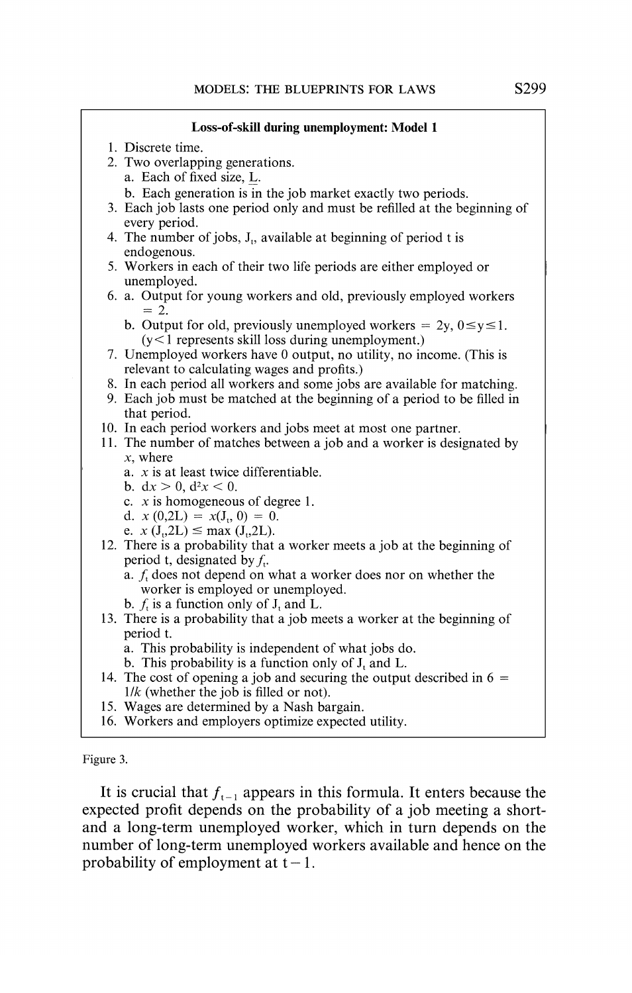| Loss-of-skill during unemployment: Model 1 |                                                                                                                                                             |  |
|--------------------------------------------|-------------------------------------------------------------------------------------------------------------------------------------------------------------|--|
|                                            | 1. Discrete time.                                                                                                                                           |  |
|                                            | 2. Two overlapping generations.                                                                                                                             |  |
|                                            | a. Each of fixed size, L.                                                                                                                                   |  |
|                                            | b. Each generation is in the job market exactly two periods.<br>3. Each job lasts one period only and must be refilled at the beginning of<br>every period. |  |
|                                            | 4. The number of jobs, $J_t$ , available at beginning of period t is<br>endogenous.                                                                         |  |
|                                            | 5. Workers in each of their two life periods are either employed or                                                                                         |  |
|                                            | unemployed.                                                                                                                                                 |  |
|                                            | 6. a. Output for young workers and old, previously employed workers<br>$= 2.$                                                                               |  |
|                                            | b. Output for old, previously unemployed workers = 2y, $0 \le y \le 1$ .<br>$(y<1$ represents skill loss during unemployment.)                              |  |
|                                            | 7. Unemployed workers have 0 output, no utility, no income. (This is                                                                                        |  |
|                                            | relevant to calculating wages and profits.)                                                                                                                 |  |
|                                            | 8. In each period all workers and some jobs are available for matching.                                                                                     |  |
|                                            | 9. Each job must be matched at the beginning of a period to be filled in<br>that period.                                                                    |  |
|                                            | 10. In each period workers and jobs meet at most one partner.                                                                                               |  |
|                                            | 11. The number of matches between a job and a worker is designated by                                                                                       |  |
|                                            | $x$ , where                                                                                                                                                 |  |
|                                            | a. $x$ is at least twice differentiable.                                                                                                                    |  |
|                                            | b. $dx > 0$ , $d^2x < 0$ .                                                                                                                                  |  |
|                                            | c. $x$ is homogeneous of degree 1.                                                                                                                          |  |
|                                            | d. $x(0,2L) = x(J_t, 0) = 0.$                                                                                                                               |  |
|                                            | e. $x (J_v, 2L) \le \max (J_v, 2L)$ .                                                                                                                       |  |
|                                            | 12. There is a probability that a worker meets a job at the beginning of                                                                                    |  |
|                                            | period t, designated by $f_t$ .<br>a. $f_t$ does not depend on what a worker does nor on whether the                                                        |  |
|                                            | worker is employed or unemployed.                                                                                                                           |  |
|                                            | b. $f_t$ is a function only of $J_t$ and L.                                                                                                                 |  |
|                                            | 13. There is a probability that a job meets a worker at the beginning of                                                                                    |  |
|                                            | period t.                                                                                                                                                   |  |
|                                            | a. This probability is independent of what jobs do.                                                                                                         |  |
|                                            | b. This probability is a function only of $J_t$ and $L$ .                                                                                                   |  |
|                                            | 14. The cost of opening a job and securing the output described in $6 =$                                                                                    |  |
|                                            | $1/k$ (whether the job is filled or not).                                                                                                                   |  |
|                                            | 15. Wages are determined by a Nash bargain.                                                                                                                 |  |
|                                            | 16. Workers and employers optimize expected utility.                                                                                                        |  |

**Figure 3.** 

It is crucial that  $f_{t-1}$  appears in this formula. It enters because the **expected profit depends on the probability of a job meeting a shortand a long-term unemployed worker, which in turn depends on the number of long-term unemployed workers available and hence on the**  probability of employment at  $t - 1$ .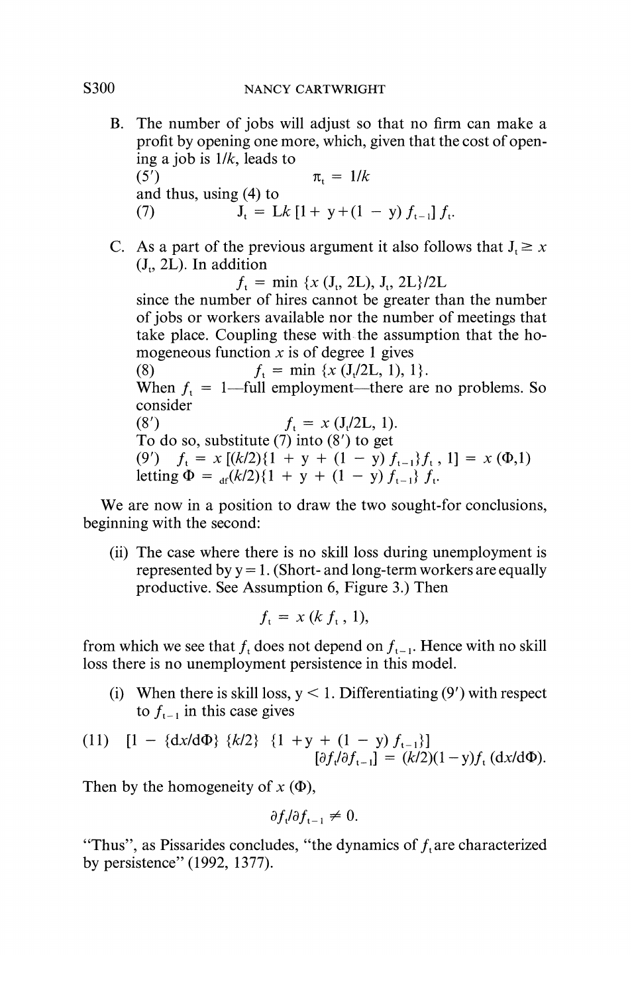- **B. The number of jobs will adjust so that no firm can make a profit by opening one more, which, given that the cost of open**ing a job is  $1/k$ , leads to  $(5')$  $\pi_t = 1/k$ and thus, using (4) to  $(7)$   $J<sub>r</sub> = L$  $\mathbf{J}_t = \mathbf{L}k [1 + \mathbf{y} + (1 - \mathbf{y}) f_{t-1}] f_t$
- **C.** As a part of the previous argument it also follows that  $J_t \geq x$  $(J_n, 2L)$ . In addition

 $f_t = \min \{x \,(J_t, 2L), J_t, 2L\}/2L$ **since the number of hires cannot be greater than the number of jobs or workers available nor the number of meetings that take place. Coupling these with the assumption that the ho**mogeneous function x is of degree 1 gives (8)  $f_x = \min \{x \text{ (J/2L, 1), 1}\}\$  $f_t = \min \{x \text{ (J/2L, 1), 1}\}.$ When  $f_1 = 1$ —full employment—there are no problems. So **consider**  (8')  $f_t = x (J_t/2L, 1).$ **To do so, substitute (7) into (8') to get**   $(9')$   $f_t = x [(k/2){1 + y + (1 - y) f_{t-1}};f_t, 1] = x (0,1)$ **letting**  $\Phi = \frac{d}{dt}(k/2)\{1 + y + (1 - y)f_{t-1}\}f_t$ .

**We are now in a position to draw the two sought-for conclusions, beginning with the second:** 

**(ii) The case where there is no skill loss during unemployment is**  represented by  $y = 1$ . (Short- and long-term workers are equally **productive. See Assumption 6, Figure 3.) Then** 

$$
f_{\rm t}=x\,(k\,f_{\rm t}\,,\,1),
$$

from which we see that  $f_t$  does not depend on  $f_{t-1}$ . Hence with no skill **loss there is no unemployment persistence in this model.** 

(i) When there is skill loss,  $y < 1$ . Differentiating (9') with respect to  $f_{t-1}$  in this case gives

(11) 
$$
[1 - {dx/d\Phi} {k/2} {1 + y + (1 - y) f_{t-1}}] \qquad [ \partial f_t / \partial f_{t-1} ] = (k/2)(1 - y) f_t (dx/d\Phi).
$$

Then by the homogeneity of  $x(\Phi)$ ,

$$
\partial f_t/\partial f_{t-1}\neq 0.
$$

"Thus", as Pissarides concludes, "the dynamics of  $f<sub>t</sub>$  are characterized **by persistence" (1992, 1377).**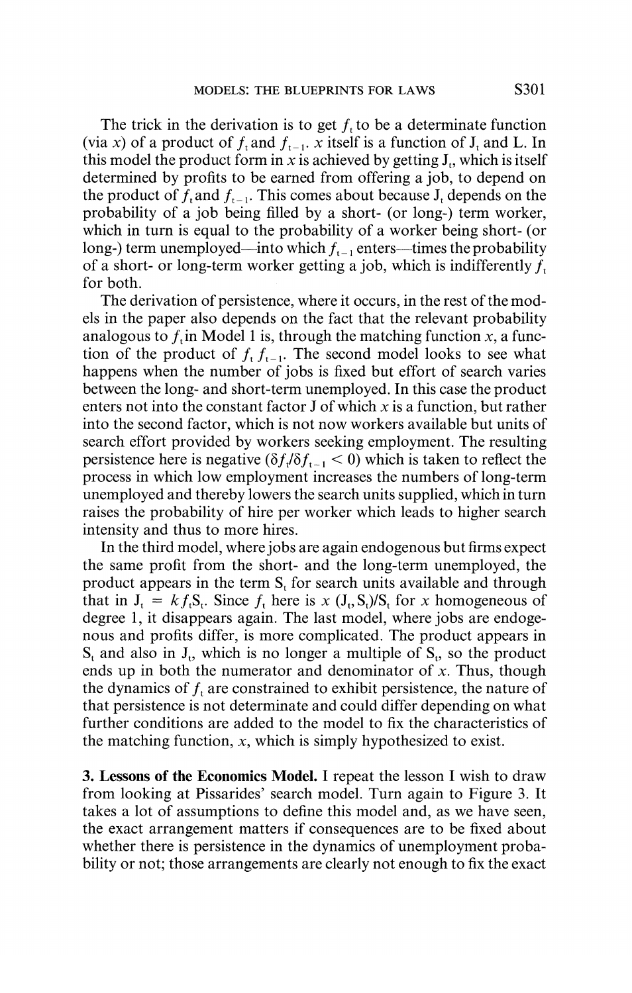**The trick in the derivation is to get f, to be a determinate function**  (via x) of a product of  $f_t$  and  $f_{t-1}$ , x itself is a function of  $J_t$  and L. In this model the product form in x is achieved by getting  $J<sub>i</sub>$ , which is itself **determined by profits to be earned from offering a job, to depend on**  the product of  $f$ , and  $f_{t-1}$ . This comes about because **J**, depends on the **probability of a job being filled by a short- (or long-) term worker, which in turn is equal to the probability of a worker being short- (or**  long-) term unemployed—into which  $f_{t-1}$  enters—times the probability of a short- or long-term worker getting a job, which is indifferently  $f_t$ **for both.** 

**The derivation of persistence, where it occurs, in the rest of the models in the paper also depends on the fact that the relevant probability**  analogous to  $f<sub>i</sub>$  in Model 1 is, through the matching function x, a func**tion of the product of**  $f_t$ **,**  $f_{t-1}$ **. The second model looks to see what happens when the number of jobs is fixed but effort of search varies between the long- and short-term unemployed. In this case the product enters not into the constant factor J of which x is a function, but rather into the second factor, which is not now workers available but units of search effort provided by workers seeking employment. The resulting persistence here is negative**  $(\delta f / \delta f_{t-1} < 0)$  **which is taken to reflect the process in which low employment increases the numbers of long-term unemployed and thereby lowers the search units supplied, which in turn raises the probability of hire per worker which leads to higher search intensity and thus to more hires.** 

**In the third model, where jobs are again endogenous but firms expect the same profit from the short- and the long-term unemployed, the**  product appears in the term S<sub>t</sub> for search units available and through **that in**  $J_t = kf_tS_t$ . Since  $f_t$  here is  $x \left( J_t, S_t \right) / S_t$  for x homogeneous of **degree 1, it disappears again. The last model, where jobs are endogenous and profits differ, is more complicated. The product appears in**  S<sub>t</sub> and also in J<sub>t</sub>, which is no longer a multiple of S<sub>t</sub>, so the product **ends up in both the numerator and denominator of x. Thus, though**  the dynamics of  $f_t$  are constrained to exhibit persistence, the nature of **that persistence is not determinate and could differ depending on what further conditions are added to the model to fix the characteristics of**  the matching function,  $x$ , which is simply hypothesized to exist.

**3. Lessons of the Economics Model. I repeat the lesson I wish to draw from looking at Pissarides' search model. Turn again to Figure 3. It takes a lot of assumptions to define this model and, as we have seen, the exact arrangement matters if consequences are to be fixed about whether there is persistence in the dynamics of unemployment probability or not; those arrangements are clearly not enough to fix the exact**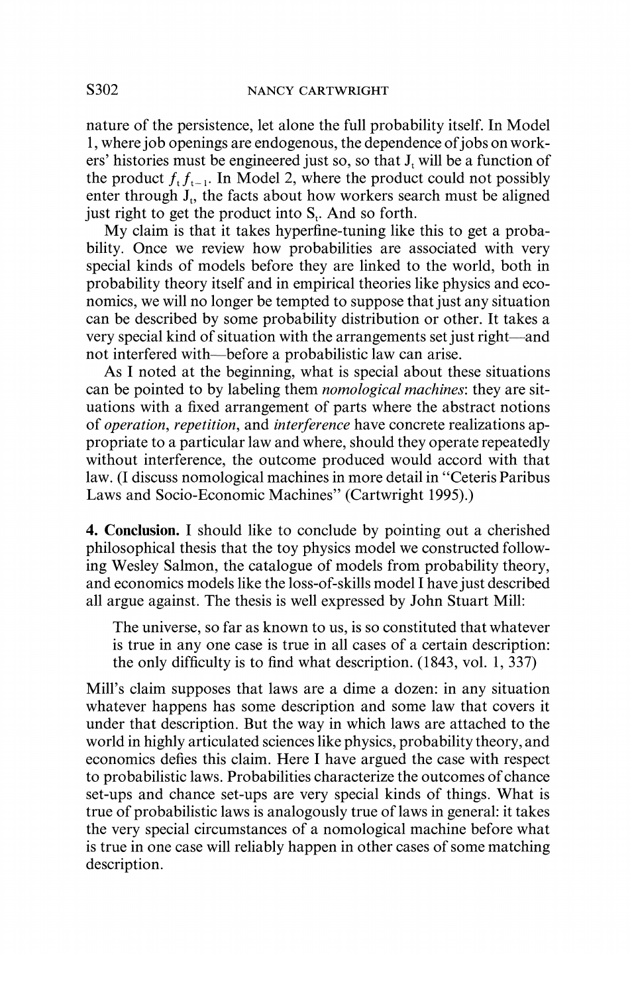**nature of the persistence, let alone the full probability itself. In Model 1, where job openings are endogenous, the dependence of jobs on workers' histories must be engineered just so, so that J, will be a function of**  the product  $f_t f_{t-1}$ . In Model 2, where the product could not possibly enter through **J**, the facts about how workers search must be aligned just right to get the product into S<sub>t</sub>. And so forth.

**My claim is that it takes hyperfine-tuning like this to get a probability. Once we review how probabilities are associated with very special kinds of models before they are linked to the world, both in probability theory itself and in empirical theories like physics and economics, we will no longer be tempted to suppose that just any situation can be described by some probability distribution or other. It takes a very special kind of situation with the arrangements set just right-and not interfered with-before a probabilistic law can arise.** 

**As I noted at the beginning, what is special about these situations can be pointed to by labeling them nomological machines: they are situations with a fixed arrangement of parts where the abstract notions of operation, repetition, and interference have concrete realizations appropriate to a particular law and where, should they operate repeatedly without interference, the outcome produced would accord with that law. (I discuss nomological machines in more detail in "Ceteris Paribus Laws and Socio-Economic Machines" (Cartwright 1995).)** 

**4. Conclusion. I should like to conclude by pointing out a cherished philosophical thesis that the toy physics model we constructed following Wesley Salmon, the catalogue of models from probability theory, and economics models like the loss-of-skills model I have just described all argue against. The thesis is well expressed by John Stuart Mill:** 

**The universe, so far as known to us, is so constituted that whatever is true in any one case is true in all cases of a certain description: the only difficulty is to find what description. (1843, vol. 1, 337)** 

**Mill's claim supposes that laws are a dime a dozen: in any situation whatever happens has some description and some law that covers it under that description. But the way in which laws are attached to the world in highly articulated sciences like physics, probability theory, and economics defies this claim. Here I have argued the case with respect to probabilistic laws. Probabilities characterize the outcomes of chance set-ups and chance set-ups are very special kinds of things. What is true of probabilistic laws is analogously true of laws in general: it takes the very special circumstances of a nomological machine before what is true in one case will reliably happen in other cases of some matching description.**